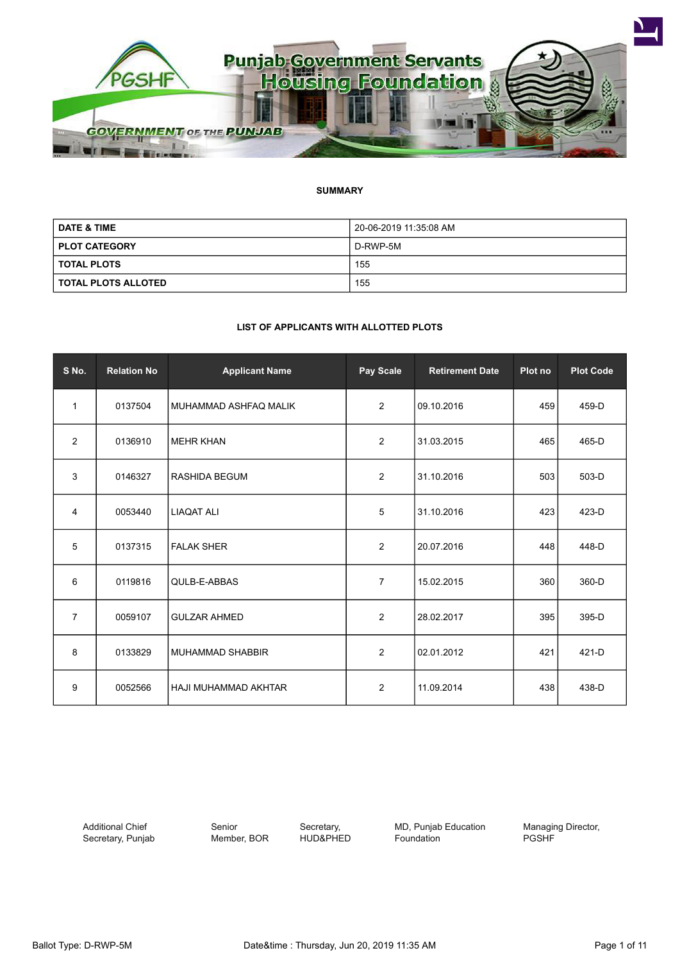

#### **SUMMARY**

| <b>DATE &amp; TIME</b> | 20-06-2019 11:35:08 AM |  |
|------------------------|------------------------|--|
| <b>PLOT CATEGORY</b>   | D-RWP-5M               |  |
| <b>TOTAL PLOTS</b>     | 155                    |  |
| I TOTAL PLOTS ALLOTED  | 155                    |  |

#### **LIST OF APPLICANTS WITH ALLOTTED PLOTS**

| S No.          | <b>Relation No</b> | <b>Applicant Name</b> | Pay Scale      | <b>Retirement Date</b> | Plot no | <b>Plot Code</b> |
|----------------|--------------------|-----------------------|----------------|------------------------|---------|------------------|
| 1              | 0137504            | MUHAMMAD ASHFAQ MALIK | $\overline{2}$ | 09.10.2016             | 459     | 459-D            |
| 2              | 0136910            | <b>MEHR KHAN</b>      | $\overline{2}$ | 31.03.2015             | 465     | 465-D            |
| 3              | 0146327            | <b>RASHIDA BEGUM</b>  | $\overline{2}$ | 31.10.2016             | 503     | 503-D            |
| 4              | 0053440            | <b>LIAQAT ALI</b>     | 5              | 31.10.2016             | 423     | 423-D            |
| 5              | 0137315            | <b>FALAK SHER</b>     | 2              | 20.07.2016             | 448     | 448-D            |
| 6              | 0119816            | QULB-E-ABBAS          | $\overline{7}$ | 15.02.2015             | 360     | 360-D            |
| $\overline{7}$ | 0059107            | <b>GULZAR AHMED</b>   | $\overline{2}$ | 28.02.2017             | 395     | 395-D            |
| 8              | 0133829            | I MUHAMMAD SHABBIR    | $\overline{2}$ | 02.01.2012             | 421     | 421-D            |
| 9              | 0052566            | HAJI MUHAMMAD AKHTAR  | 2              | 11.09.2014             | 438     | 438-D            |

Additional Chief Secretary, Punjab Senior Member, BOR

Secretary, HUD&PHED MD, Punjab Education Foundation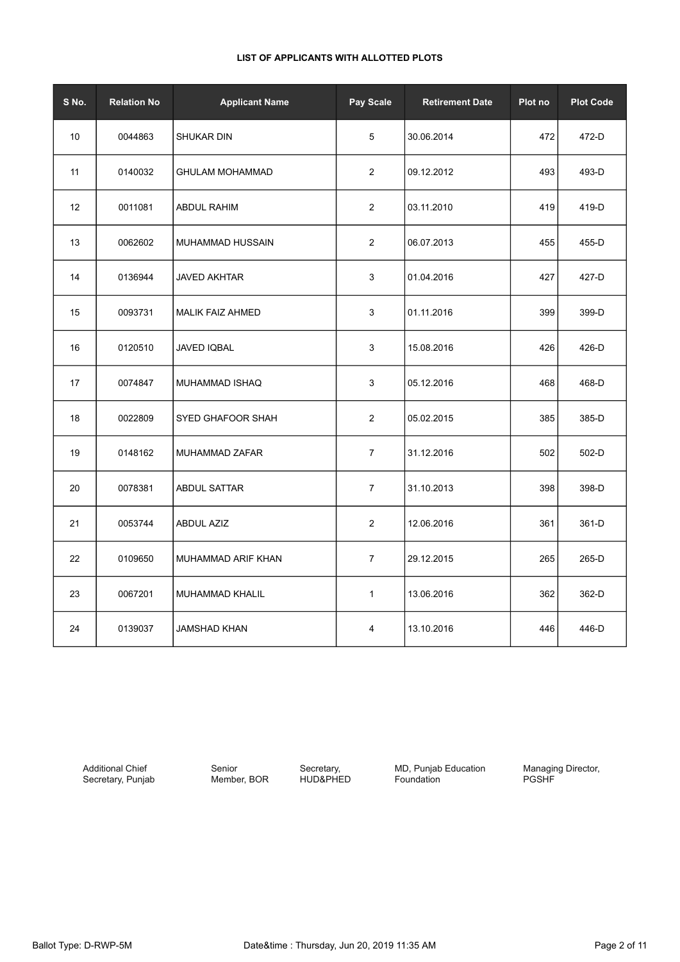| S No. | <b>Relation No</b> | <b>Applicant Name</b>    | Pay Scale      | <b>Retirement Date</b> | Plot no | <b>Plot Code</b> |
|-------|--------------------|--------------------------|----------------|------------------------|---------|------------------|
| 10    | 0044863            | SHUKAR DIN               | 5              | 30.06.2014             | 472     | 472-D            |
| 11    | 0140032            | <b>GHULAM MOHAMMAD</b>   | 2              | 09.12.2012             | 493     | 493-D            |
| 12    | 0011081            | <b>ABDUL RAHIM</b>       | $\overline{2}$ | 03.11.2010             | 419     | 419-D            |
| 13    | 0062602            | MUHAMMAD HUSSAIN         | $\overline{c}$ | 06.07.2013             | 455     | 455-D            |
| 14    | 0136944            | <b>JAVED AKHTAR</b>      | 3              | 01.04.2016             | 427     | 427-D            |
| 15    | 0093731            | <b>MALIK FAIZ AHMED</b>  | 3              | 01.11.2016             | 399     | 399-D            |
| 16    | 0120510            | <b>JAVED IQBAL</b>       | 3              | 15.08.2016             | 426     | 426-D            |
| 17    | 0074847            | MUHAMMAD ISHAQ           | 3              | 05.12.2016             | 468     | 468-D            |
| 18    | 0022809            | <b>SYED GHAFOOR SHAH</b> | $\sqrt{2}$     | 05.02.2015             | 385     | 385-D            |
| 19    | 0148162            | MUHAMMAD ZAFAR           | $\overline{7}$ | 31.12.2016             | 502     | 502-D            |
| 20    | 0078381            | <b>ABDUL SATTAR</b>      | $\overline{7}$ | 31.10.2013             | 398     | 398-D            |
| 21    | 0053744            | <b>ABDUL AZIZ</b>        | $\sqrt{2}$     | 12.06.2016             | 361     | 361-D            |
| 22    | 0109650            | MUHAMMAD ARIF KHAN       | $\overline{7}$ | 29.12.2015             | 265     | 265-D            |
| 23    | 0067201            | MUHAMMAD KHALIL          | $\mathbf{1}$   | 13.06.2016             | 362     | 362-D            |
| 24    | 0139037            | <b>JAMSHAD KHAN</b>      | 4              | 13.10.2016             | 446     | 446-D            |

Additional Chief Secretary, Punjab

Senior Member, BOR

Secretary, HUD&PHED MD, Punjab Education Foundation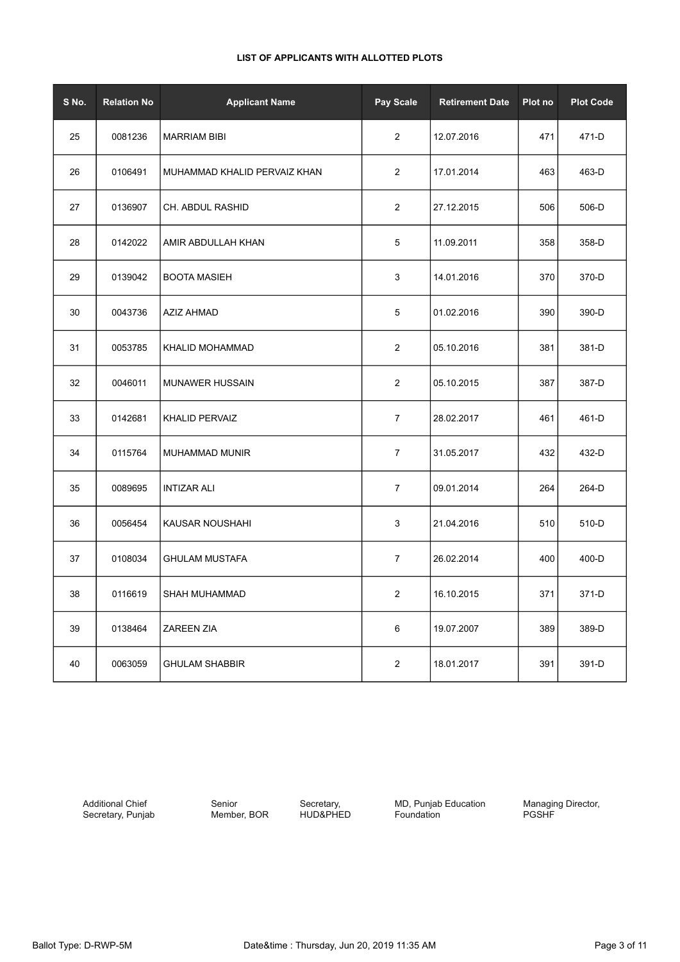| S No. | <b>Relation No</b> | <b>Applicant Name</b>        | <b>Pay Scale</b> | <b>Retirement Date</b> | Plot no | <b>Plot Code</b> |
|-------|--------------------|------------------------------|------------------|------------------------|---------|------------------|
| 25    | 0081236            | <b>MARRIAM BIBI</b>          | $\overline{2}$   | 12.07.2016             | 471     | 471-D            |
| 26    | 0106491            | MUHAMMAD KHALID PERVAIZ KHAN | $\overline{2}$   | 17.01.2014             | 463     | 463-D            |
| 27    | 0136907            | CH. ABDUL RASHID             | $\overline{2}$   | 27.12.2015             | 506     | 506-D            |
| 28    | 0142022            | AMIR ABDULLAH KHAN           | 5                | 11.09.2011             | 358     | 358-D            |
| 29    | 0139042            | <b>BOOTA MASIEH</b>          | 3                | 14.01.2016             | 370     | 370-D            |
| 30    | 0043736            | <b>AZIZ AHMAD</b>            | 5                | 01.02.2016             | 390     | 390-D            |
| 31    | 0053785            | KHALID MOHAMMAD              | $\overline{2}$   | 05.10.2016             | 381     | 381-D            |
| 32    | 0046011            | <b>MUNAWER HUSSAIN</b>       | 2                | 05.10.2015             | 387     | 387-D            |
| 33    | 0142681            | <b>KHALID PERVAIZ</b>        | $\overline{7}$   | 28.02.2017             | 461     | 461-D            |
| 34    | 0115764            | MUHAMMAD MUNIR               | $\overline{7}$   | 31.05.2017             | 432     | 432-D            |
| 35    | 0089695            | <b>INTIZAR ALI</b>           | $\overline{7}$   | 09.01.2014             | 264     | 264-D            |
| 36    | 0056454            | KAUSAR NOUSHAHI              | 3                | 21.04.2016             | 510     | 510-D            |
| 37    | 0108034            | <b>GHULAM MUSTAFA</b>        | $\overline{7}$   | 26.02.2014             | 400     | 400-D            |
| 38    | 0116619            | <b>SHAH MUHAMMAD</b>         | 2                | 16.10.2015             | 371     | 371-D            |
| 39    | 0138464            | <b>ZAREEN ZIA</b>            | 6                | 19.07.2007             | 389     | 389-D            |
| 40    | 0063059            | <b>GHULAM SHABBIR</b>        | $\overline{2}$   | 18.01.2017             | 391     | 391-D            |

Additional Chief Secretary, Punjab Senior Member, BOR

Secretary, HUD&PHED MD, Punjab Education Foundation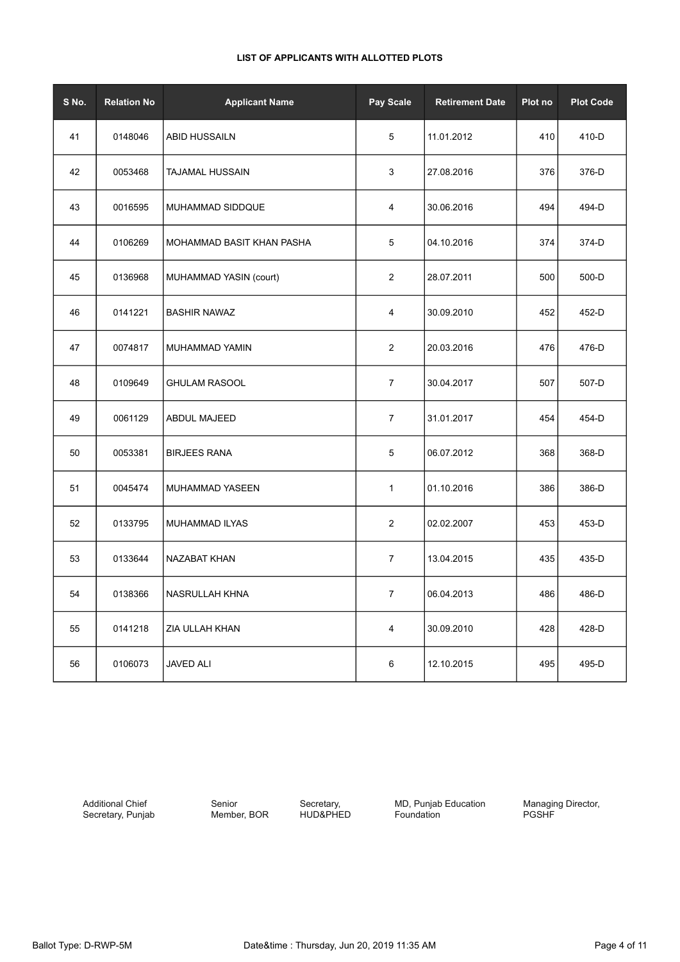| S No. | <b>Relation No</b> | <b>Applicant Name</b>     | Pay Scale               | <b>Retirement Date</b> | Plot no | <b>Plot Code</b> |
|-------|--------------------|---------------------------|-------------------------|------------------------|---------|------------------|
| 41    | 0148046            | <b>ABID HUSSAILN</b>      | 5                       | 11.01.2012             | 410     | 410-D            |
| 42    | 0053468            | <b>TAJAMAL HUSSAIN</b>    | 3                       | 27.08.2016             | 376     | 376-D            |
| 43    | 0016595            | MUHAMMAD SIDDQUE          | 4                       | 30.06.2016             | 494     | 494-D            |
| 44    | 0106269            | MOHAMMAD BASIT KHAN PASHA | 5                       | 04.10.2016             | 374     | 374-D            |
| 45    | 0136968            | MUHAMMAD YASIN (court)    | $\overline{c}$          | 28.07.2011             | 500     | 500-D            |
| 46    | 0141221            | <b>BASHIR NAWAZ</b>       | 4                       | 30.09.2010             | 452     | 452-D            |
| 47    | 0074817            | MUHAMMAD YAMIN            | $\overline{c}$          | 20.03.2016             | 476     | 476-D            |
| 48    | 0109649            | <b>GHULAM RASOOL</b>      | $\overline{7}$          | 30.04.2017             | 507     | 507-D            |
| 49    | 0061129            | ABDUL MAJEED              | $\overline{7}$          | 31.01.2017             | 454     | 454-D            |
| 50    | 0053381            | <b>BIRJEES RANA</b>       | 5                       | 06.07.2012             | 368     | 368-D            |
| 51    | 0045474            | MUHAMMAD YASEEN           | $\mathbf{1}$            | 01.10.2016             | 386     | 386-D            |
| 52    | 0133795            | MUHAMMAD ILYAS            | $\overline{c}$          | 02.02.2007             | 453     | 453-D            |
| 53    | 0133644            | NAZABAT KHAN              | $\overline{7}$          | 13.04.2015             | 435     | 435-D            |
| 54    | 0138366            | NASRULLAH KHNA            | $\mathbf{7}$            | 06.04.2013             | 486     | 486-D            |
| 55    | 0141218            | ZIA ULLAH KHAN            | $\overline{\mathbf{4}}$ | 30.09.2010             | 428     | 428-D            |
| 56    | 0106073            | <b>JAVED ALI</b>          | 6                       | 12.10.2015             | 495     | 495-D            |

Additional Chief Secretary, Punjab

Senior Member, BOR

Secretary, HUD&PHED MD, Punjab Education Foundation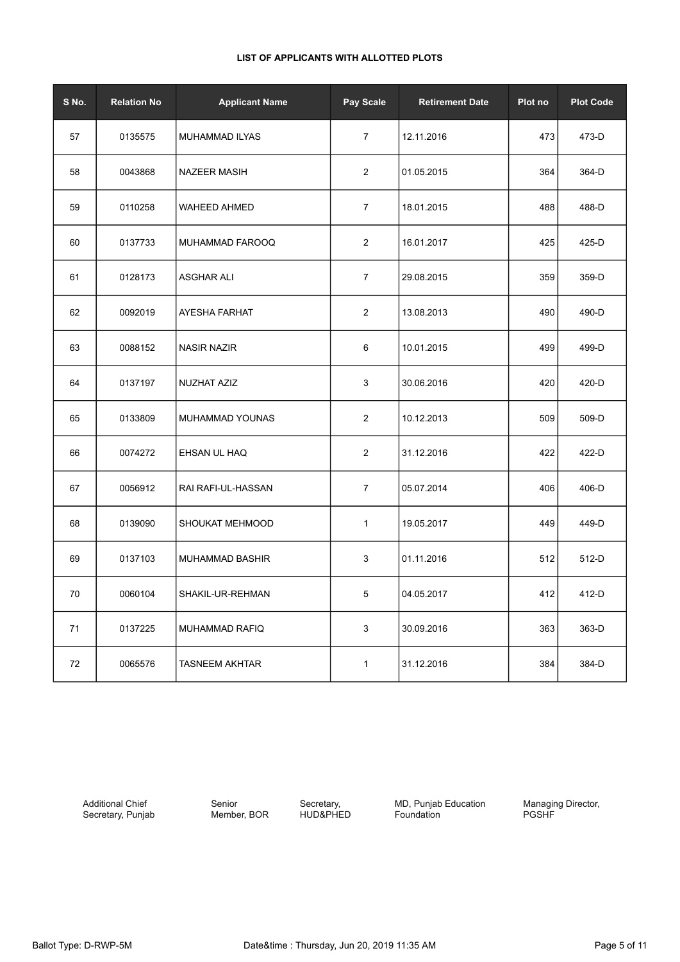| S No. | <b>Relation No</b> | <b>Applicant Name</b> | Pay Scale      | <b>Retirement Date</b> | Plot no | <b>Plot Code</b> |
|-------|--------------------|-----------------------|----------------|------------------------|---------|------------------|
| 57    | 0135575            | MUHAMMAD ILYAS        | $\overline{7}$ | 12.11.2016             | 473     | 473-D            |
| 58    | 0043868            | <b>NAZEER MASIH</b>   | $\overline{2}$ | 01.05.2015             | 364     | 364-D            |
| 59    | 0110258            | <b>WAHEED AHMED</b>   | $\overline{7}$ | 18.01.2015             | 488     | 488-D            |
| 60    | 0137733            | MUHAMMAD FAROOQ       | $\overline{2}$ | 16.01.2017             | 425     | 425-D            |
| 61    | 0128173            | <b>ASGHAR ALI</b>     | $\overline{7}$ | 29.08.2015             | 359     | 359-D            |
| 62    | 0092019            | AYESHA FARHAT         | $\overline{c}$ | 13.08.2013             | 490     | 490-D            |
| 63    | 0088152            | <b>NASIR NAZIR</b>    | 6              | 10.01.2015             | 499     | 499-D            |
| 64    | 0137197            | NUZHAT AZIZ           | 3              | 30.06.2016             | 420     | 420-D            |
| 65    | 0133809            | MUHAMMAD YOUNAS       | $\overline{c}$ | 10.12.2013             | 509     | 509-D            |
| 66    | 0074272            | EHSAN UL HAQ          | $\sqrt{2}$     | 31.12.2016             | 422     | 422-D            |
| 67    | 0056912            | RAI RAFI-UL-HASSAN    | 7              | 05.07.2014             | 406     | 406-D            |
| 68    | 0139090            | SHOUKAT MEHMOOD       | $\mathbf{1}$   | 19.05.2017             | 449     | 449-D            |
| 69    | 0137103            | MUHAMMAD BASHIR       | 3              | 01.11.2016             | 512     | 512-D            |
| 70    | 0060104            | SHAKIL-UR-REHMAN      | 5              | 04.05.2017             | 412     | 412-D            |
| 71    | 0137225            | <b>MUHAMMAD RAFIQ</b> | $\mathsf 3$    | 30.09.2016             | 363     | 363-D            |
| 72    | 0065576            | <b>TASNEEM AKHTAR</b> | 1              | 31.12.2016             | 384     | 384-D            |

Additional Chief Secretary, Punjab Senior Member, BOR

Secretary, HUD&PHED **MD, Punjab Education** Foundation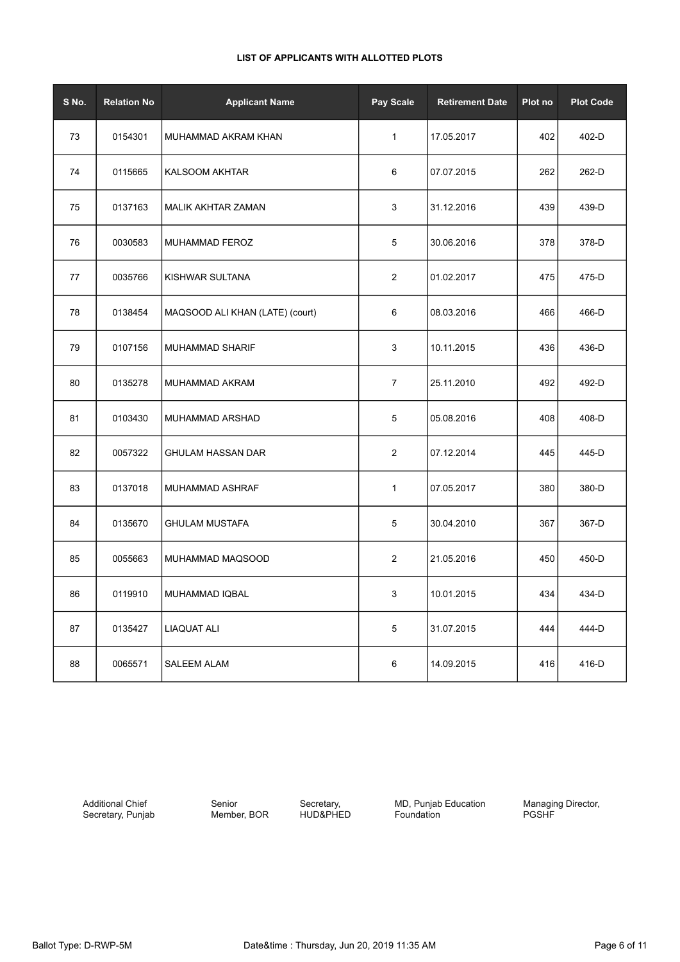| S No. | <b>Relation No</b> | <b>Applicant Name</b>           | Pay Scale      | <b>Retirement Date</b> | Plot no | <b>Plot Code</b> |
|-------|--------------------|---------------------------------|----------------|------------------------|---------|------------------|
| 73    | 0154301            | MUHAMMAD AKRAM KHAN             | $\mathbf{1}$   | 17.05.2017             | 402     | 402-D            |
| 74    | 0115665            | <b>KALSOOM AKHTAR</b>           | 6              | 07.07.2015             | 262     | 262-D            |
| 75    | 0137163            | MALIK AKHTAR ZAMAN              | 3              | 31.12.2016             | 439     | 439-D            |
| 76    | 0030583            | MUHAMMAD FEROZ                  | 5              | 30.06.2016             | 378     | 378-D            |
| 77    | 0035766            | KISHWAR SULTANA                 | $\overline{2}$ | 01.02.2017             | 475     | 475-D            |
| 78    | 0138454            | MAQSOOD ALI KHAN (LATE) (court) | 6              | 08.03.2016             | 466     | 466-D            |
| 79    | 0107156            | <b>MUHAMMAD SHARIF</b>          | 3              | 10.11.2015             | 436     | 436-D            |
| 80    | 0135278            | MUHAMMAD AKRAM                  | $\overline{7}$ | 25.11.2010             | 492     | 492-D            |
| 81    | 0103430            | MUHAMMAD ARSHAD                 | 5              | 05.08.2016             | 408     | 408-D            |
| 82    | 0057322            | GHULAM HASSAN DAR               | $\overline{2}$ | 07.12.2014             | 445     | 445-D            |
| 83    | 0137018            | MUHAMMAD ASHRAF                 | $\mathbf{1}$   | 07.05.2017             | 380     | 380-D            |
| 84    | 0135670            | <b>GHULAM MUSTAFA</b>           | 5              | 30.04.2010             | 367     | 367-D            |
| 85    | 0055663            | MUHAMMAD MAQSOOD                | 2              | 21.05.2016             | 450     | 450-D            |
| 86    | 0119910            | MUHAMMAD IQBAL                  | 3              | 10.01.2015             | 434     | 434-D            |
| 87    | 0135427            | <b>LIAQUAT ALI</b>              | 5              | 31.07.2015             | 444     | 444-D            |
| 88    | 0065571            | <b>SALEEM ALAM</b>              | 6              | 14.09.2015             | 416     | 416-D            |

Additional Chief Secretary, Punjab

Senior Member, BOR

Secretary, HUD&PHED MD, Punjab Education Foundation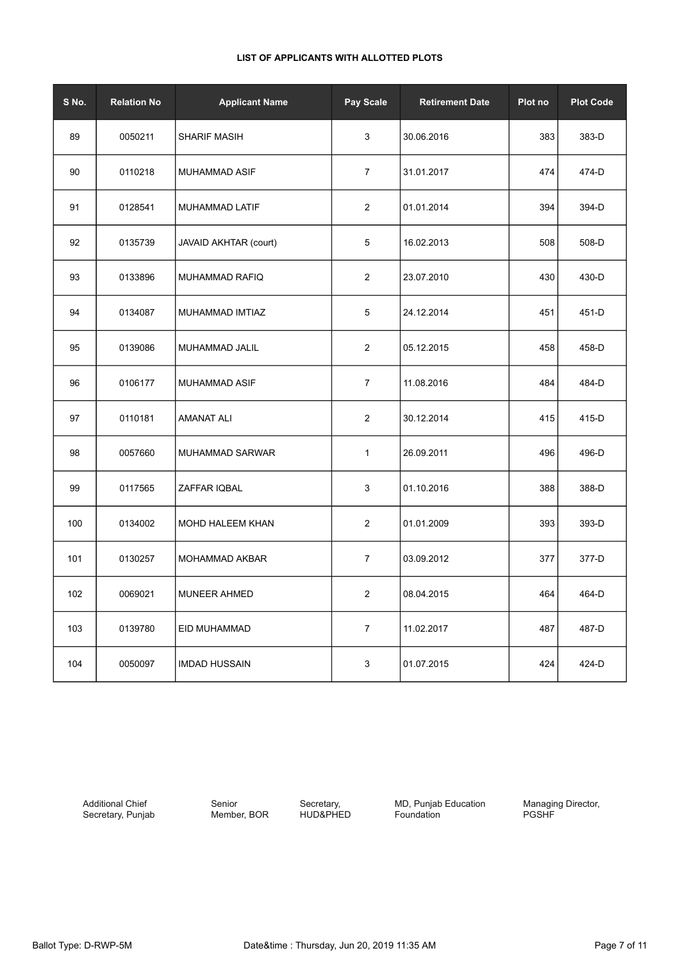| S No. | <b>Relation No</b> | <b>Applicant Name</b>  | Pay Scale      | <b>Retirement Date</b> | Plot no | <b>Plot Code</b> |
|-------|--------------------|------------------------|----------------|------------------------|---------|------------------|
| 89    | 0050211            | <b>SHARIF MASIH</b>    | $\mathbf{3}$   | 30.06.2016             | 383     | 383-D            |
| 90    | 0110218            | MUHAMMAD ASIF          | $\overline{7}$ | 31.01.2017             | 474     | 474-D            |
| 91    | 0128541            | MUHAMMAD LATIF         | 2              | 01.01.2014             | 394     | 394-D            |
| 92    | 0135739            | JAVAID AKHTAR (court)  | 5              | 16.02.2013             | 508     | 508-D            |
| 93    | 0133896            | MUHAMMAD RAFIQ         | $\sqrt{2}$     | 23.07.2010             | 430     | 430-D            |
| 94    | 0134087            | MUHAMMAD IMTIAZ        | 5              | 24.12.2014             | 451     | 451-D            |
| 95    | 0139086            | MUHAMMAD JALIL         | $\overline{c}$ | 05.12.2015             | 458     | 458-D            |
| 96    | 0106177            | MUHAMMAD ASIF          | $\overline{7}$ | 11.08.2016             | 484     | 484-D            |
| 97    | 0110181            | <b>AMANAT ALI</b>      | $\overline{c}$ | 30.12.2014             | 415     | 415-D            |
| 98    | 0057660            | <b>MUHAMMAD SARWAR</b> | $\mathbf{1}$   | 26.09.2011             | 496     | 496-D            |
| 99    | 0117565            | ZAFFAR IQBAL           | 3              | 01.10.2016             | 388     | 388-D            |
| 100   | 0134002            | MOHD HALEEM KHAN       | $\sqrt{2}$     | 01.01.2009             | 393     | 393-D            |
| 101   | 0130257            | <b>MOHAMMAD AKBAR</b>  | $\overline{7}$ | 03.09.2012             | 377     | 377-D            |
| 102   | 0069021            | <b>MUNEER AHMED</b>    | $\overline{2}$ | 08.04.2015             | 464     | 464-D            |
| 103   | 0139780            | EID MUHAMMAD           | $\overline{7}$ | 11.02.2017             | 487     | 487-D            |
| 104   | 0050097            | <b>IMDAD HUSSAIN</b>   | $\mathbf{3}$   | 01.07.2015             | 424     | 424-D            |

Additional Chief Secretary, Punjab Senior Member, BOR

Secretary, HUD&PHED **MD, Punjab Education** Foundation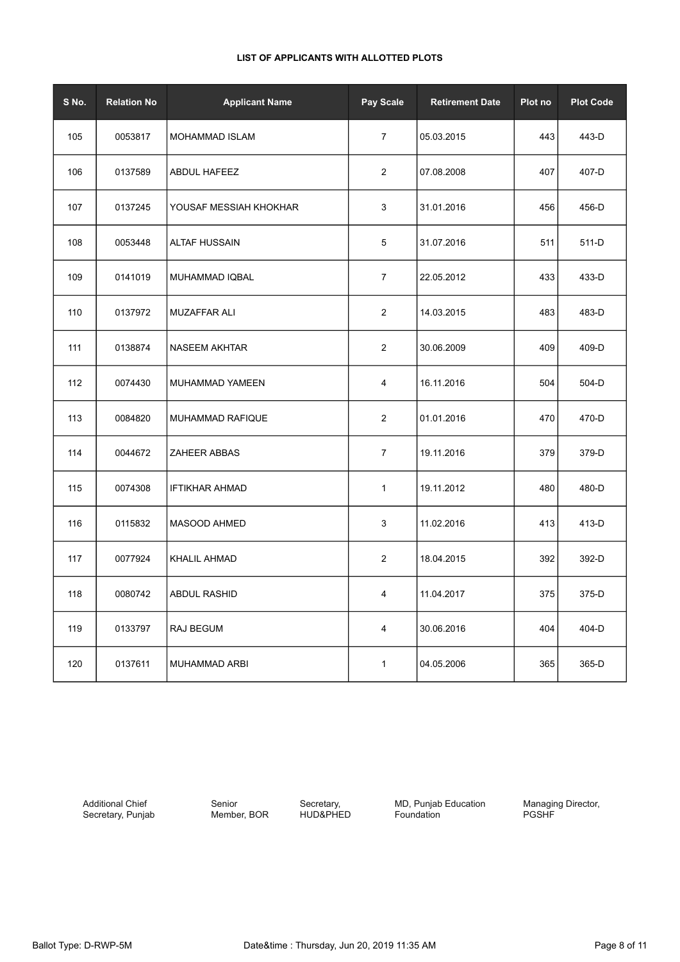| S No. | <b>Relation No</b> | <b>Applicant Name</b>  | Pay Scale      | <b>Retirement Date</b> | Plot no | <b>Plot Code</b> |
|-------|--------------------|------------------------|----------------|------------------------|---------|------------------|
| 105   | 0053817            | <b>MOHAMMAD ISLAM</b>  | $\overline{7}$ | 05.03.2015             | 443     | 443-D            |
| 106   | 0137589            | <b>ABDUL HAFEEZ</b>    | $\overline{2}$ | 07.08.2008             | 407     | 407-D            |
| 107   | 0137245            | YOUSAF MESSIAH KHOKHAR | $\mathbf{3}$   | 31.01.2016             | 456     | 456-D            |
| 108   | 0053448            | <b>ALTAF HUSSAIN</b>   | 5              | 31.07.2016             | 511     | 511-D            |
| 109   | 0141019            | MUHAMMAD IQBAL         | $\overline{7}$ | 22.05.2012             | 433     | 433-D            |
| 110   | 0137972            | MUZAFFAR ALI           | $\overline{c}$ | 14.03.2015             | 483     | 483-D            |
| 111   | 0138874            | <b>NASEEM AKHTAR</b>   | $\sqrt{2}$     | 30.06.2009             | 409     | 409-D            |
| 112   | 0074430            | MUHAMMAD YAMEEN        | 4              | 16.11.2016             | 504     | 504-D            |
| 113   | 0084820            | MUHAMMAD RAFIQUE       | $\overline{2}$ | 01.01.2016             | 470     | 470-D            |
| 114   | 0044672            | <b>ZAHEER ABBAS</b>    | $\overline{7}$ | 19.11.2016             | 379     | 379-D            |
| 115   | 0074308            | <b>IFTIKHAR AHMAD</b>  | 1              | 19.11.2012             | 480     | 480-D            |
| 116   | 0115832            | MASOOD AHMED           | 3              | 11.02.2016             | 413     | 413-D            |
| 117   | 0077924            | KHALIL AHMAD           | $\overline{c}$ | 18.04.2015             | 392     | 392-D            |
| 118   | 0080742            | ABDUL RASHID           | 4              | 11.04.2017             | 375     | 375-D            |
| 119   | 0133797            | RAJ BEGUM              | $\overline{4}$ | 30.06.2016             | 404     | 404-D            |
| 120   | 0137611            | MUHAMMAD ARBI          | $\mathbf{1}$   | 04.05.2006             | 365     | 365-D            |

Additional Chief Secretary, Punjab Senior Member, BOR

Secretary, HUD&PHED **MD, Punjab Education** Foundation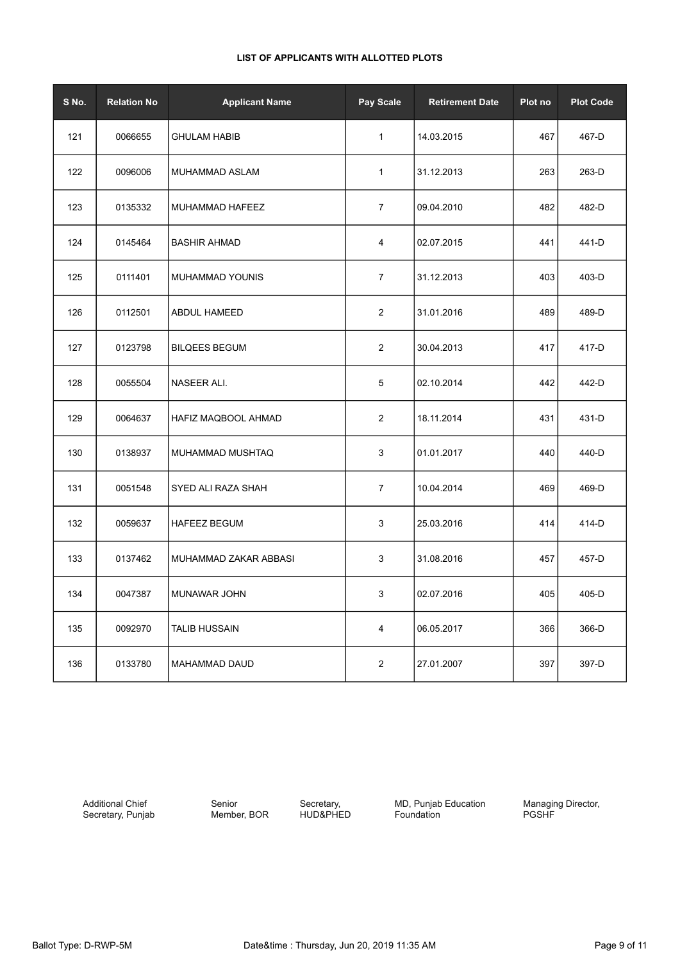| S No. | <b>Relation No</b> | <b>Applicant Name</b> | Pay Scale      | <b>Retirement Date</b> | Plot no | <b>Plot Code</b> |
|-------|--------------------|-----------------------|----------------|------------------------|---------|------------------|
| 121   | 0066655            | <b>GHULAM HABIB</b>   | $\mathbf{1}$   | 14.03.2015             | 467     | 467-D            |
| 122   | 0096006            | MUHAMMAD ASLAM        | 1              | 31.12.2013             | 263     | 263-D            |
| 123   | 0135332            | MUHAMMAD HAFEEZ       | $\overline{7}$ | 09.04.2010             | 482     | 482-D            |
| 124   | 0145464            | <b>BASHIR AHMAD</b>   | 4              | 02.07.2015             | 441     | 441-D            |
| 125   | 0111401            | MUHAMMAD YOUNIS       | $\overline{7}$ | 31.12.2013             | 403     | 403-D            |
| 126   | 0112501            | <b>ABDUL HAMEED</b>   | $\overline{2}$ | 31.01.2016             | 489     | 489-D            |
| 127   | 0123798            | <b>BILQEES BEGUM</b>  | $\overline{c}$ | 30.04.2013             | 417     | 417-D            |
| 128   | 0055504            | NASEER ALI.           | 5              | 02.10.2014             | 442     | 442-D            |
| 129   | 0064637            | HAFIZ MAQBOOL AHMAD   | $\overline{c}$ | 18.11.2014             | 431     | 431-D            |
| 130   | 0138937            | MUHAMMAD MUSHTAQ      | 3              | 01.01.2017             | 440     | 440-D            |
| 131   | 0051548            | SYED ALI RAZA SHAH    | 7              | 10.04.2014             | 469     | 469-D            |
| 132   | 0059637            | <b>HAFEEZ BEGUM</b>   | 3              | 25.03.2016             | 414     | 414-D            |
| 133   | 0137462            | MUHAMMAD ZAKAR ABBASI | 3              | 31.08.2016             | 457     | 457-D            |
| 134   | 0047387            | MUNAWAR JOHN          | 3              | 02.07.2016             | 405     | 405-D            |
| 135   | 0092970            | <b>TALIB HUSSAIN</b>  | 4              | 06.05.2017             | 366     | 366-D            |
| 136   | 0133780            | MAHAMMAD DAUD         | $\overline{c}$ | 27.01.2007             | 397     | 397-D            |

Additional Chief Secretary, Punjab Senior Member, BOR

Secretary, HUD&PHED **MD, Punjab Education** Foundation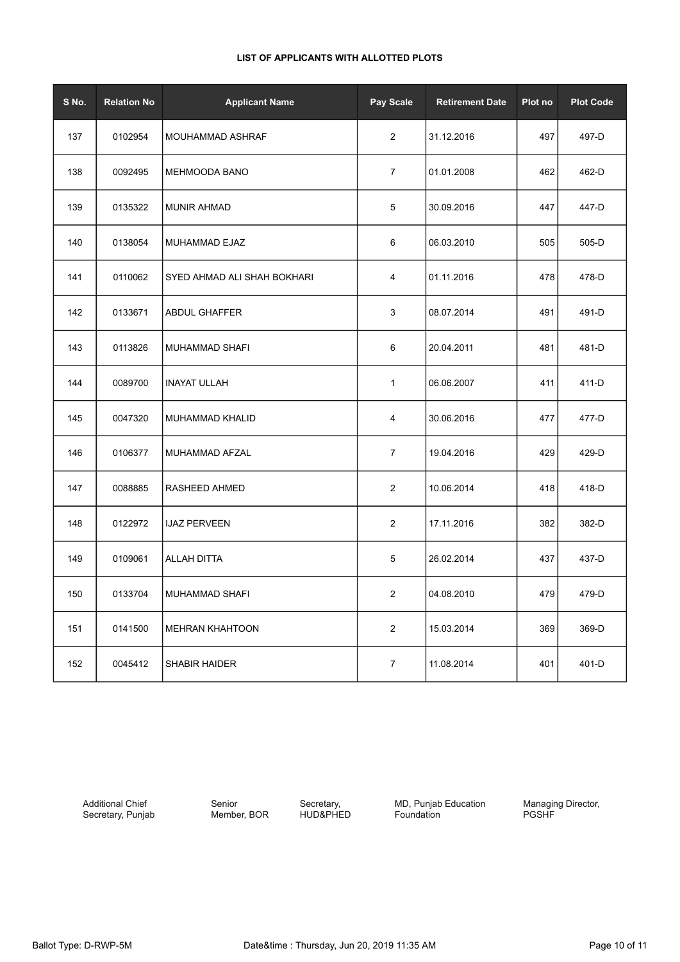| S No. | <b>Relation No</b> | <b>Applicant Name</b>       | Pay Scale               | <b>Retirement Date</b> | Plot no | <b>Plot Code</b> |
|-------|--------------------|-----------------------------|-------------------------|------------------------|---------|------------------|
| 137   | 0102954            | MOUHAMMAD ASHRAF            | $\overline{2}$          | 31.12.2016             | 497     | 497-D            |
| 138   | 0092495            | <b>MEHMOODA BANO</b>        | $\overline{7}$          | 01.01.2008             | 462     | 462-D            |
| 139   | 0135322            | <b>MUNIR AHMAD</b>          | 5                       | 30.09.2016             | 447     | 447-D            |
| 140   | 0138054            | MUHAMMAD EJAZ               | 6                       | 06.03.2010             | 505     | 505-D            |
| 141   | 0110062            | SYED AHMAD ALI SHAH BOKHARI | $\overline{\mathbf{4}}$ | 01.11.2016             | 478     | 478-D            |
| 142   | 0133671            | ABDUL GHAFFER               | 3                       | 08.07.2014             | 491     | 491-D            |
| 143   | 0113826            | MUHAMMAD SHAFI              | 6                       | 20.04.2011             | 481     | 481-D            |
| 144   | 0089700            | <b>INAYAT ULLAH</b>         | $\mathbf{1}$            | 06.06.2007             | 411     | 411-D            |
| 145   | 0047320            | MUHAMMAD KHALID             | 4                       | 30.06.2016             | 477     | 477-D            |
| 146   | 0106377            | MUHAMMAD AFZAL              | $\overline{7}$          | 19.04.2016             | 429     | 429-D            |
| 147   | 0088885            | RASHEED AHMED               | $\overline{2}$          | 10.06.2014             | 418     | 418-D            |
| 148   | 0122972            | <b>IJAZ PERVEEN</b>         | 2                       | 17.11.2016             | 382     | 382-D            |
| 149   | 0109061            | ALLAH DITTA                 | 5                       | 26.02.2014             | 437     | 437-D            |
| 150   | 0133704            | MUHAMMAD SHAFI              | $\overline{2}$          | 04.08.2010             | 479     | 479-D            |
| 151   | 0141500            | <b>MEHRAN KHAHTOON</b>      | $\overline{2}$          | 15.03.2014             | 369     | 369-D            |
| 152   | 0045412            | <b>SHABIR HAIDER</b>        | $\overline{7}$          | 11.08.2014             | 401     | 401-D            |

Additional Chief Secretary, Punjab

Senior Member, BOR

Secretary, HUD&PHED MD, Punjab Education Foundation